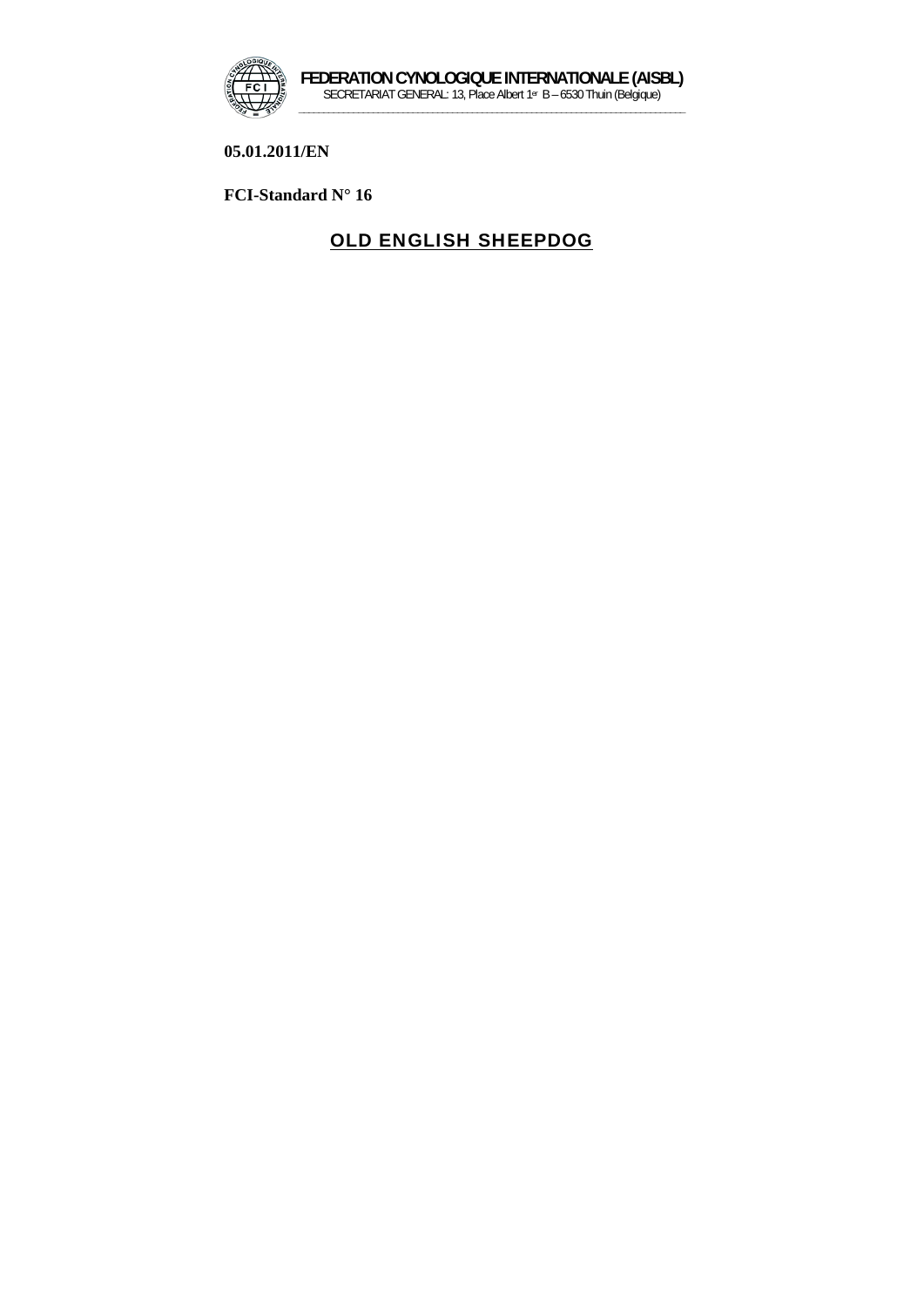

**05.01.2011/EN** 

**FCI-Standard N° 16** 

# OLD ENGLISH SHEEPDOG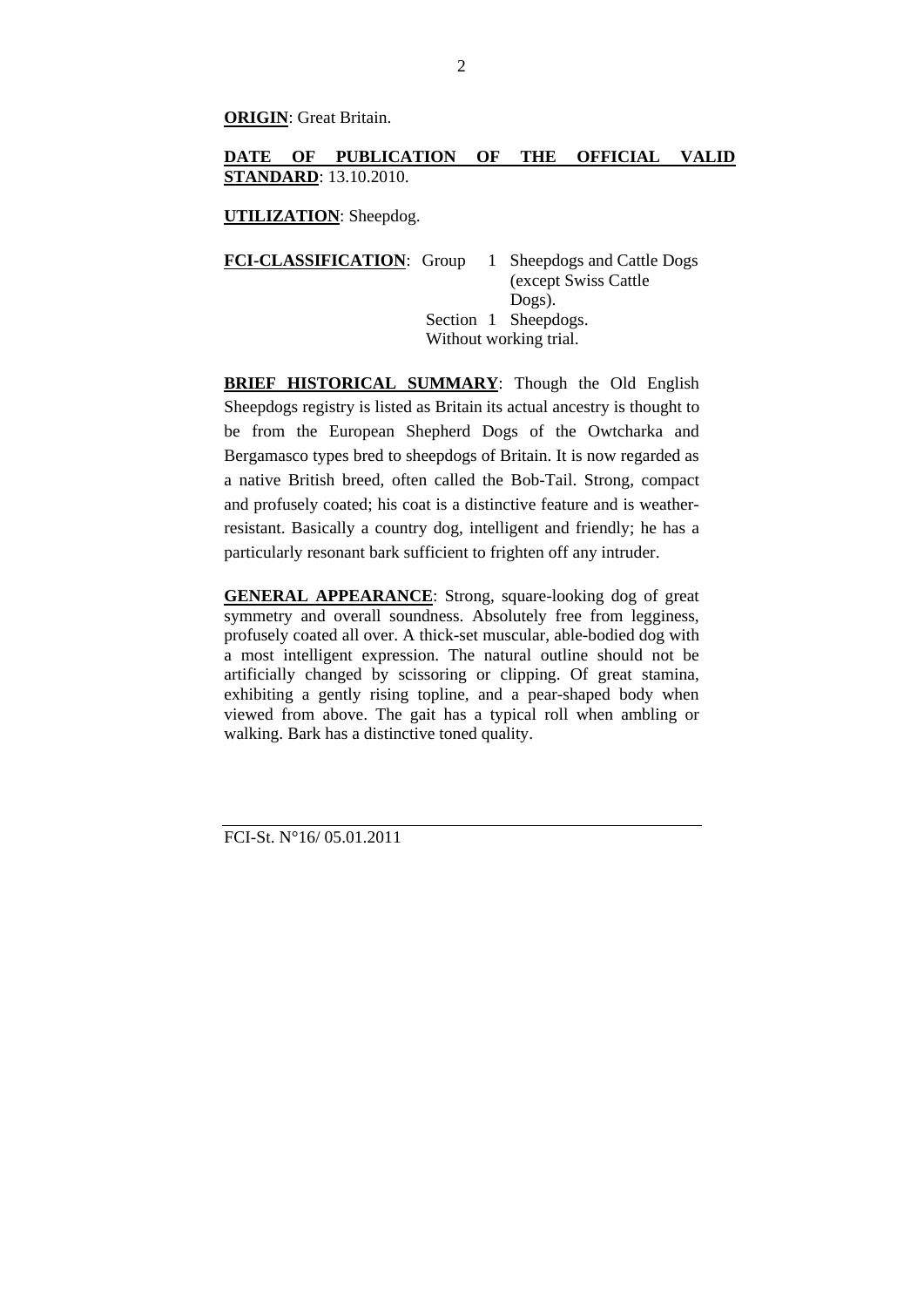**ORIGIN**: Great Britain.

## **DATE OF PUBLICATION OF THE OFFICIAL VALID STANDARD**: 13.10.2010.

**UTILIZATION**: Sheepdog.

**FCI-CLASSIFICATION:** Group 1 Sheepdogs and Cattle Dogs (except Swiss Cattle Dogs). Section 1 Sheepdogs. Without working trial.

**BRIEF HISTORICAL SUMMARY:** Though the Old English Sheepdogs registry is listed as Britain its actual ancestry is thought to be from the European Shepherd Dogs of the Owtcharka and Bergamasco types bred to sheepdogs of Britain. It is now regarded as a native British breed, often called the Bob-Tail. Strong, compact and profusely coated; his coat is a distinctive feature and is weatherresistant. Basically a country dog, intelligent and friendly; he has a particularly resonant bark sufficient to frighten off any intruder.

**GENERAL APPEARANCE**: Strong, square-looking dog of great symmetry and overall soundness. Absolutely free from legginess, profusely coated all over. A thick-set muscular, able-bodied dog with a most intelligent expression. The natural outline should not be artificially changed by scissoring or clipping. Of great stamina, exhibiting a gently rising topline, and a pear-shaped body when viewed from above. The gait has a typical roll when ambling or walking. Bark has a distinctive toned quality.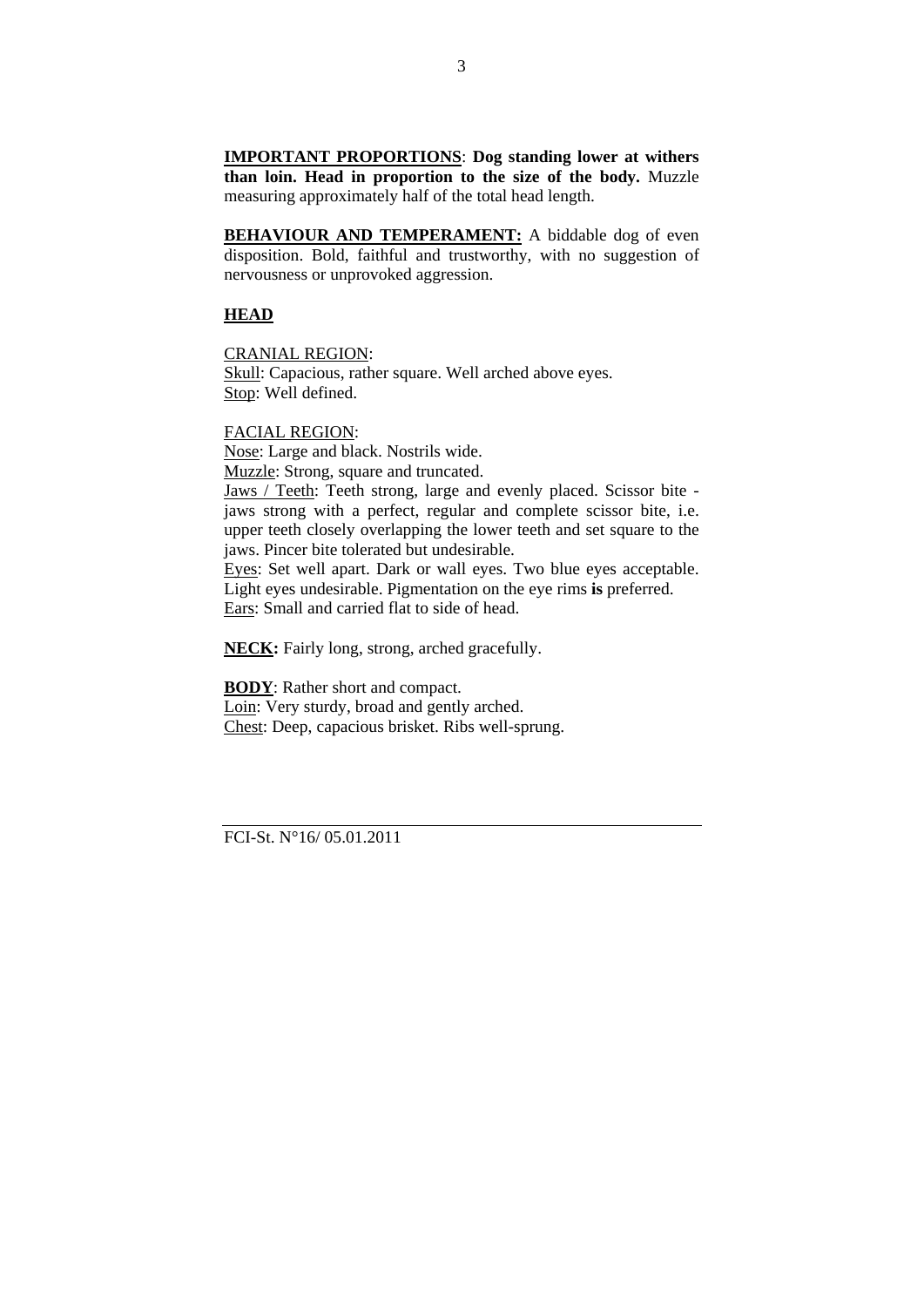**IMPORTANT PROPORTIONS**: **Dog standing lower at withers than loin. Head in proportion to the size of the body.** Muzzle measuring approximately half of the total head length.

**BEHAVIOUR AND TEMPERAMENT:** A biddable dog of even disposition. Bold, faithful and trustworthy, with no suggestion of nervousness or unprovoked aggression.

## **HEAD**

CRANIAL REGION:

Skull: Capacious, rather square. Well arched above eyes. Stop: Well defined.

#### FACIAL REGION:

Nose: Large and black. Nostrils wide. Muzzle: Strong, square and truncated. Jaws / Teeth: Teeth strong, large and evenly placed. Scissor bite jaws strong with a perfect, regular and complete scissor bite, i.e. upper teeth closely overlapping the lower teeth and set square to the jaws. Pincer bite tolerated but undesirable. Eyes: Set well apart. Dark or wall eyes. Two blue eyes acceptable. Light eyes undesirable. Pigmentation on the eye rims **is** preferred.

Ears: Small and carried flat to side of head.

**NECK:** Fairly long, strong, arched gracefully.

**BODY**: Rather short and compact. Loin: Very sturdy, broad and gently arched. Chest: Deep, capacious brisket. Ribs well-sprung.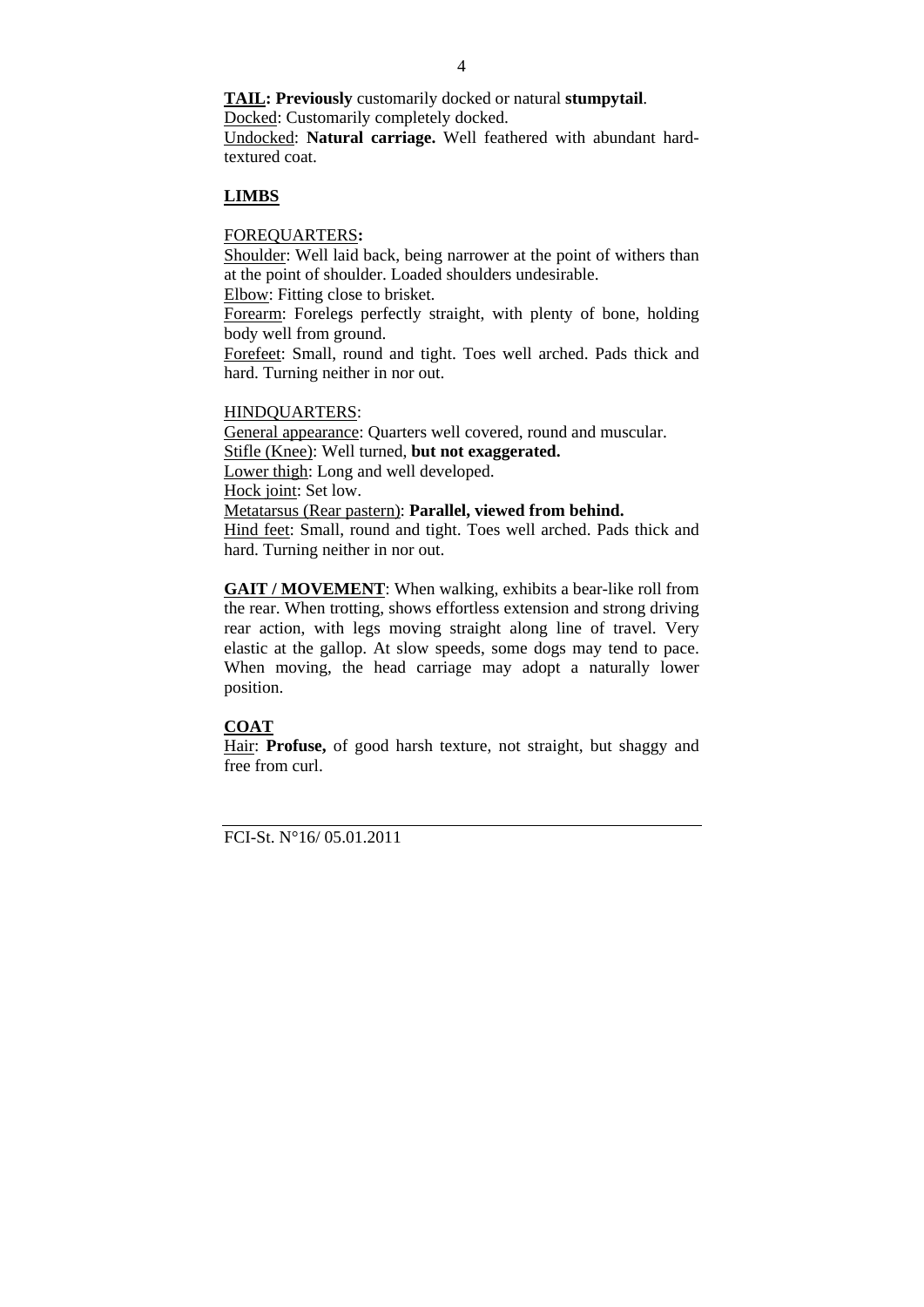**TAIL: Previously** customarily docked or natural **stumpytail**. Docked: Customarily completely docked.

Undocked: **Natural carriage.** Well feathered with abundant hardtextured coat.

## **LIMBS**

#### FOREQUARTERS**:**

Shoulder: Well laid back, being narrower at the point of withers than at the point of shoulder. Loaded shoulders undesirable.

Elbow: Fitting close to brisket.

Forearm: Forelegs perfectly straight, with plenty of bone, holding body well from ground.

Forefeet: Small, round and tight. Toes well arched. Pads thick and hard. Turning neither in nor out.

#### HINDQUARTERS:

General appearance: Quarters well covered, round and muscular. Stifle (Knee): Well turned, **but not exaggerated.** Lower thigh: Long and well developed. Hock joint: Set low. Metatarsus (Rear pastern): **Parallel, viewed from behind.** Hind feet: Small, round and tight. Toes well arched. Pads thick and hard. Turning neither in nor out.

**GAIT / MOVEMENT**: When walking, exhibits a bear-like roll from the rear. When trotting, shows effortless extension and strong driving rear action, with legs moving straight along line of travel. Very elastic at the gallop. At slow speeds, some dogs may tend to pace. When moving, the head carriage may adopt a naturally lower position.

#### **COAT**

Hair: **Profuse,** of good harsh texture, not straight, but shaggy and free from curl.